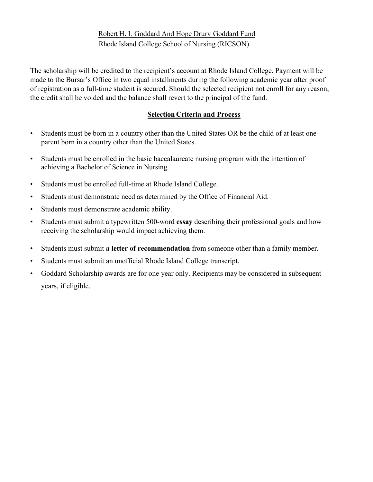# Robert H. I. Goddard And Hope Drury Goddard Fund Rhode Island College School of Nursing (RICSON)

The scholarship will be credited to the recipient's account at Rhode Island College. Payment will be made to the Bursar's Office in two equal installments during the following academic year after proof of registration as a full-time student is secured. Should the selected recipient not enroll for any reason, the credit shall be voided and the balance shall revert to the principal of the fund.

### **Selection Criteria and Process**

- Students must be born in a country other than the United States OR be the child of at least one parent born in a country other than the United States.
- Students must be enrolled in the basic baccalaureate nursing program with the intention of achieving a Bachelor of Science in Nursing.
- Students must be enrolled full-time at Rhode Island College.
- Students must demonstrate need as determined by the Office of Financial Aid.
- Students must demonstrate academic ability.
- Students must submit a typewritten 500-word **essay** describing their professional goals and how receiving the scholarship would impact achieving them.
- Students must submit **a letter of recommendation** from someone other than a family member.
- Students must submit an unofficial Rhode Island College transcript.
- Goddard Scholarship awards are for one year only. Recipients may be considered in subsequent years, if eligible.